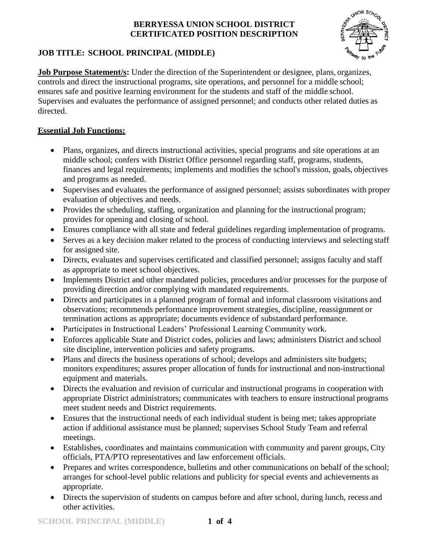

# **JOB TITLE: SCHOOL PRINCIPAL (MIDDLE)**

**Job Purpose Statement/s:** Under the direction of the Superintendent or designee, plans, organizes, controls and direct the instructional programs, site operations, and personnel for a middle school; ensures safe and positive learning environment for the students and staff of the middle school. Supervises and evaluates the performance of assigned personnel; and conducts other related duties as directed.

## **Essential Job Functions:**

- Plans, organizes, and directs instructional activities, special programs and site operations at an middle school; confers with District Office personnel regarding staff, programs, students, finances and legal requirements; implements and modifies the school's mission, goals, objectives and programs as needed.
- Supervises and evaluates the performance of assigned personnel; assists subordinates with proper evaluation of objectives and needs.
- Provides the scheduling, staffing, organization and planning for the instructional program; provides for opening and closing of school.
- Ensures compliance with all state and federal guidelines regarding implementation of programs.
- Serves as a key decision maker related to the process of conducting interviews and selecting staff for assigned site.
- Directs, evaluates and supervises certificated and classified personnel; assigns faculty and staff as appropriate to meet school objectives.
- Implements District and other mandated policies, procedures and/or processes for the purpose of providing direction and/or complying with mandated requirements.
- Directs and participates in a planned program of formal and informal classroom visitations and observations; recommends performance improvement strategies, discipline, reassignment or termination actions as appropriate; documents evidence of substandard performance.
- Participates in Instructional Leaders' Professional Learning Community work.
- Enforces applicable State and District codes, policies and laws; administers District and school site discipline, intervention policies and safety programs.
- Plans and directs the business operations of school; develops and administers site budgets; monitors expenditures; assures proper allocation of funds for instructional and non-instructional equipment and materials.
- Directs the evaluation and revision of curricular and instructional programs in cooperation with appropriate District administrators; communicates with teachers to ensure instructional programs meet student needs and District requirements.
- Ensures that the instructional needs of each individual student is being met; takes appropriate action if additional assistance must be planned; supervises School Study Team and referral meetings.
- Establishes, coordinates and maintains communication with community and parent groups, City officials, PTA/PTO representatives and law enforcement officials.
- Prepares and writes correspondence, bulletins and other communications on behalf of the school; arranges for school-level public relations and publicity for special events and achievements as appropriate.
- Directs the supervision of students on campus before and after school, during lunch, recess and other activities.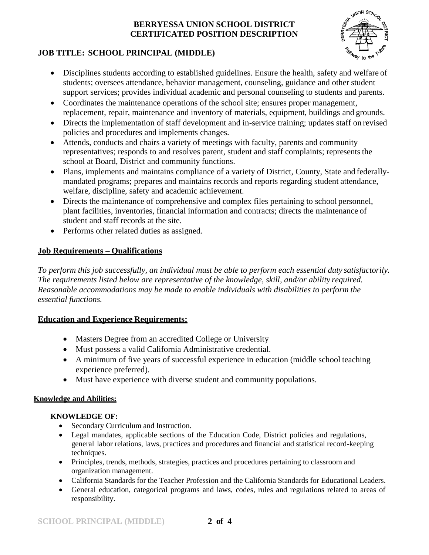

## **JOB TITLE: SCHOOL PRINCIPAL (MIDDLE)**

- Disciplines students according to established guidelines. Ensure the health, safety and welfare of students; oversees attendance, behavior management, counseling, guidance and other student support services; provides individual academic and personal counseling to students and parents.
- Coordinates the maintenance operations of the school site; ensures proper management, replacement, repair, maintenance and inventory of materials, equipment, buildings and grounds.
- Directs the implementation of staff development and in-service training; updates staff on revised policies and procedures and implements changes.
- Attends, conducts and chairs a variety of meetings with faculty, parents and community representatives; responds to and resolves parent, student and staff complaints; represents the school at Board, District and community functions.
- Plans, implements and maintains compliance of a variety of District, County, State and federallymandated programs; prepares and maintains records and reports regarding student attendance, welfare, discipline, safety and academic achievement.
- Directs the maintenance of comprehensive and complex files pertaining to school personnel, plant facilities, inventories, financial information and contracts; directs the maintenance of student and staff records at the site.
- Performs other related duties as assigned.

## **Job Requirements – Qualifications**

*To perform this job successfully, an individual must be able to perform each essential duty satisfactorily. The requirements listed below are representative of the knowledge, skill, and/or ability required. Reasonable accommodations may be made to enable individuals with disabilities to perform the essential functions.*

## **Education and Experience Requirements:**

- Masters Degree from an accredited College or University
- Must possess a valid California Administrative credential.
- A minimum of five years of successful experience in education (middle school teaching experience preferred).
- Must have experience with diverse student and community populations.

### **Knowledge and Abilities:**

## **KNOWLEDGE OF:**

- Secondary Curriculum and Instruction.
- Legal mandates, applicable sections of the Education Code, District policies and regulations, general labor relations, laws, practices and procedures and financial and statistical record-keeping techniques.
- Principles, trends, methods, strategies, practices and procedures pertaining to classroom and organization management.
- California Standards for the Teacher Profession and the California Standards for Educational Leaders.
- General education, categorical programs and laws, codes, rules and regulations related to areas of responsibility.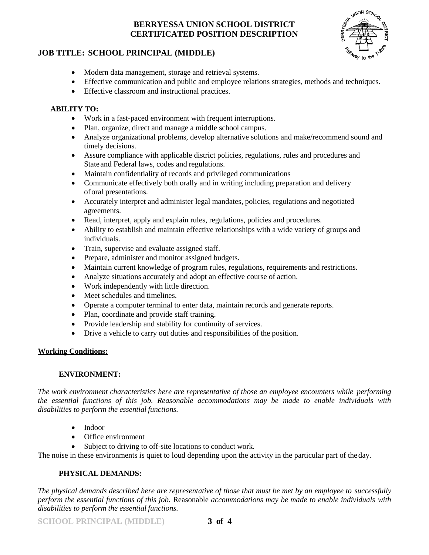

### **JOB TITLE: SCHOOL PRINCIPAL (MIDDLE)**

- Modern data management, storage and retrieval systems.
- Effective communication and public and employee relations strategies, methods and techniques.
- Effective classroom and instructional practices.

#### **ABILITY TO:**

- Work in a fast-paced environment with frequent interruptions.
- Plan, organize, direct and manage a middle school campus.
- Analyze organizational problems, develop alternative solutions and make/recommend sound and timely decisions.
- Assure compliance with applicable district policies, regulations, rules and procedures and State and Federal laws, codes and regulations.
- Maintain confidentiality of records and privileged communications
- Communicate effectively both orally and in writing including preparation and delivery oforal presentations.
- Accurately interpret and administer legal mandates, policies, regulations and negotiated agreements.
- Read, interpret, apply and explain rules, regulations, policies and procedures.
- Ability to establish and maintain effective relationships with a wide variety of groups and individuals.
- Train, supervise and evaluate assigned staff.
- Prepare, administer and monitor assigned budgets.
- Maintain current knowledge of program rules, regulations, requirements and restrictions.
- Analyze situations accurately and adopt an effective course of action.
- Work independently with little direction.
- Meet schedules and timelines.
- Operate a computer terminal to enter data, maintain records and generate reports.
- Plan, coordinate and provide staff training.
- Provide leadership and stability for continuity of services.
- Drive a vehicle to carry out duties and responsibilities of the position.

#### **Working Conditions:**

### **ENVIRONMENT:**

*The work environment characteristics here are representative of those an employee encounters while performing the essential functions of this job. Reasonable accommodations may be made to enable individuals with disabilities to perform the essential functions.*

- Indoor
- Office environment
- Subject to driving to off-site locations to conduct work.

The noise in these environments is quiet to loud depending upon the activity in the particular part of the day.

#### **PHYSICAL DEMANDS:**

*The physical demands described here are representative of those that must be met by an employee to successfully perform the essential functions of this job.* Reasonable *accommodations may be made to enable individuals with disabilities to perform the essential functions.*